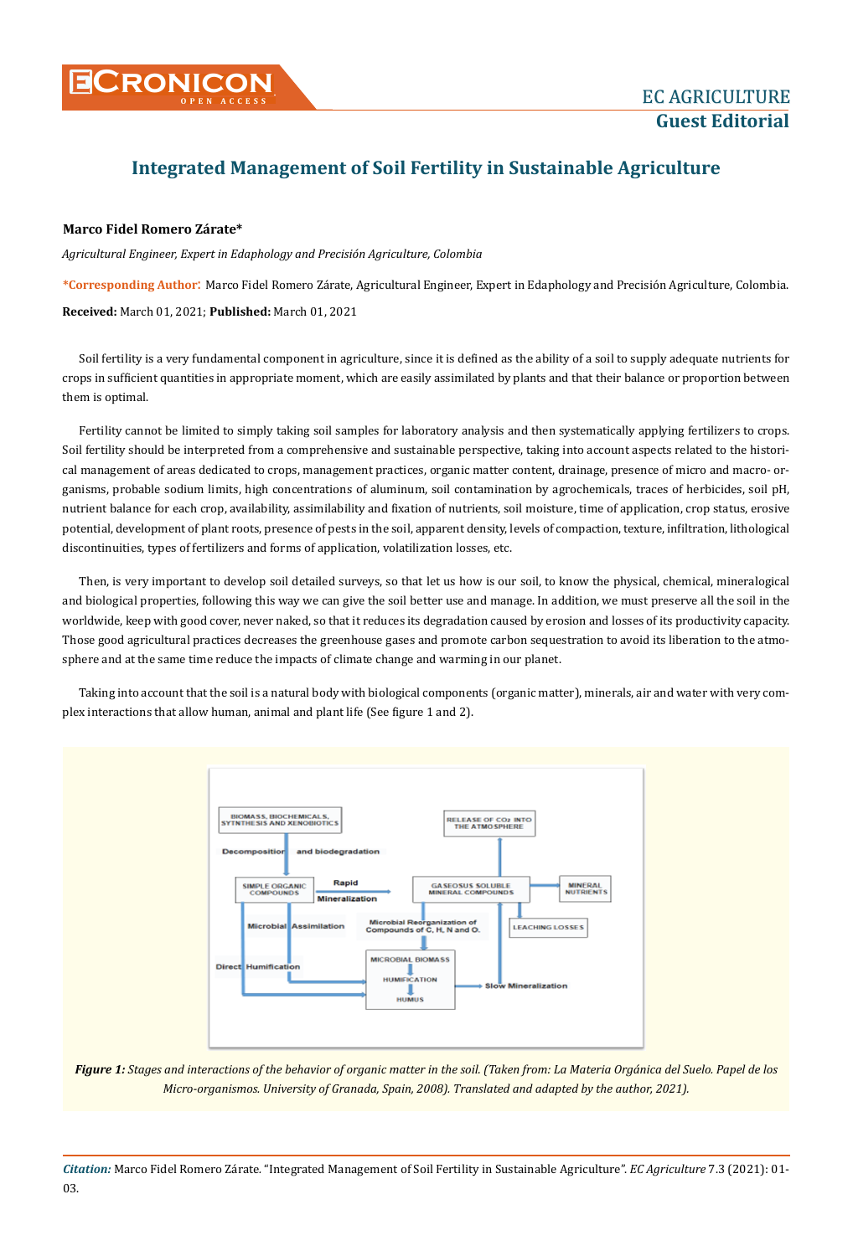

## **Integrated Management of Soil Fertility in Sustainable Agriculture**

## **Marco Fidel Romero Zárate\***

*Agricultural Engineer, Expert in Edaphology and Precisión Agriculture, Colombia*

**\*Corresponding Author**: Marco Fidel Romero Zárate, Agricultural Engineer, Expert in Edaphology and Precisión Agriculture, Colombia. **Received:** March 01, 2021; **Published:** March 01, 2021

Soil fertility is a very fundamental component in agriculture, since it is defined as the ability of a soil to supply adequate nutrients for crops in sufficient quantities in appropriate moment, which are easily assimilated by plants and that their balance or proportion between them is optimal.

Fertility cannot be limited to simply taking soil samples for laboratory analysis and then systematically applying fertilizers to crops. Soil fertility should be interpreted from a comprehensive and sustainable perspective, taking into account aspects related to the historical management of areas dedicated to crops, management practices, organic matter content, drainage, presence of micro and macro- organisms, probable sodium limits, high concentrations of aluminum, soil contamination by agrochemicals, traces of herbicides, soil pH, nutrient balance for each crop, availability, assimilability and fixation of nutrients, soil moisture, time of application, crop status, erosive potential, development of plant roots, presence of pests in the soil, apparent density, levels of compaction, texture, infiltration, lithological discontinuities, types of fertilizers and forms of application, volatilization losses, etc.

Then, is very important to develop soil detailed surveys, so that let us how is our soil, to know the physical, chemical, mineralogical and biological properties, following this way we can give the soil better use and manage. In addition, we must preserve all the soil in the worldwide, keep with good cover, never naked, so that it reduces its degradation caused by erosion and losses of its productivity capacity. Those good agricultural practices decreases the greenhouse gases and promote carbon sequestration to avoid its liberation to the atmosphere and at the same time reduce the impacts of climate change and warming in our planet.

Taking into account that the soil is a natural body with biological components (organic matter), minerals, air and water with very complex interactions that allow human, animal and plant life (See figure 1 and 2).



*Figure 1: Stages and interactions of the behavior of organic matter in the soil. (Taken from: La Materia Orgánica del Suelo. Papel de los Micro-organismos. University of Granada, Spain, 2008). Translated and adapted by the author, 2021).*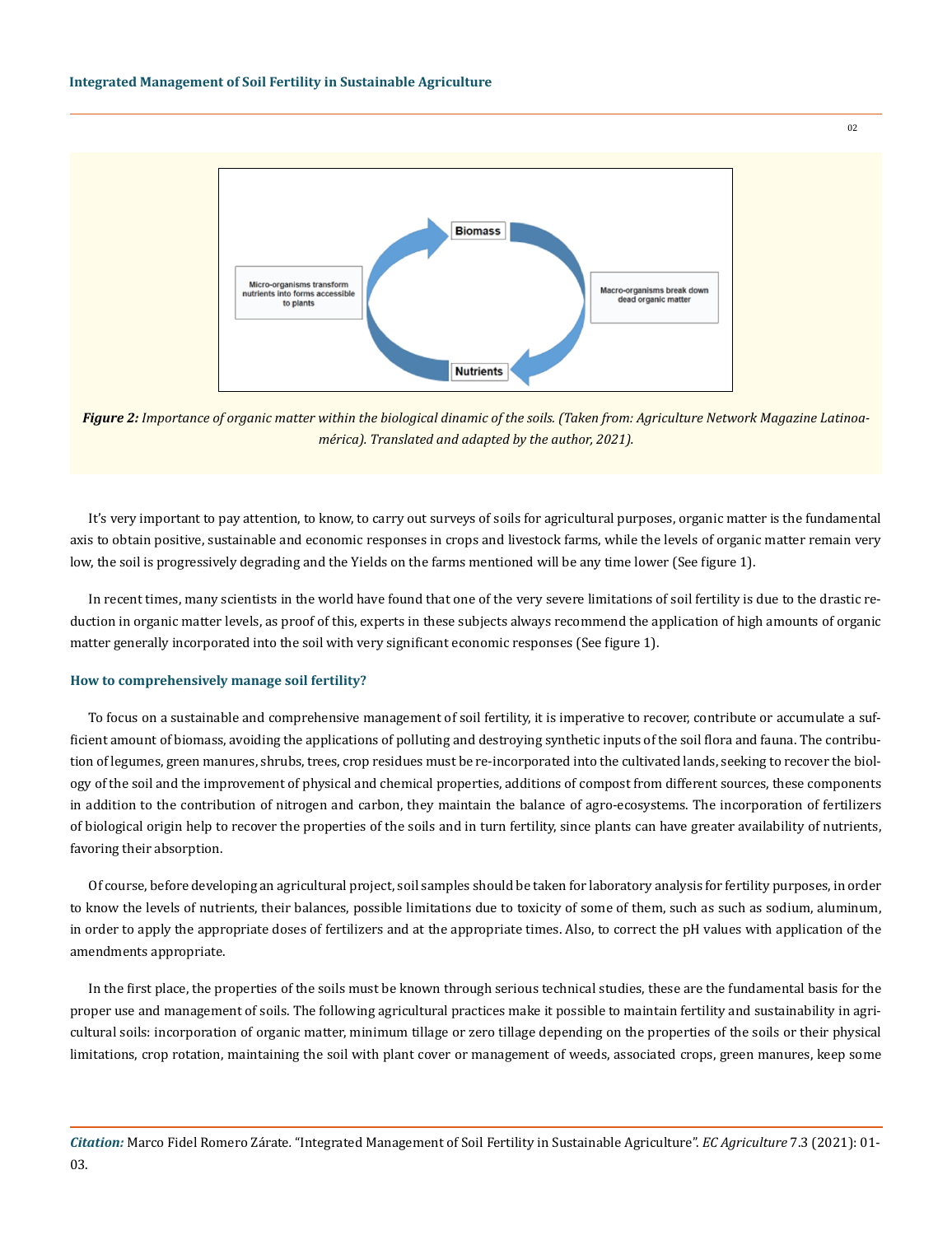

*Figure 2: Importance of organic matter within the biological dinamic of the soils. (Taken from: Agriculture Network Magazine Latinoamérica). Translated and adapted by the author, 2021).*

It's very important to pay attention, to know, to carry out surveys of soils for agricultural purposes, organic matter is the fundamental axis to obtain positive, sustainable and economic responses in crops and livestock farms, while the levels of organic matter remain very low, the soil is progressively degrading and the Yields on the farms mentioned will be any time lower (See figure 1).

In recent times, many scientists in the world have found that one of the very severe limitations of soil fertility is due to the drastic reduction in organic matter levels, as proof of this, experts in these subjects always recommend the application of high amounts of organic matter generally incorporated into the soil with very significant economic responses (See figure 1).

## **How to comprehensively manage soil fertility?**

To focus on a sustainable and comprehensive management of soil fertility, it is imperative to recover, contribute or accumulate a sufficient amount of biomass, avoiding the applications of polluting and destroying synthetic inputs of the soil flora and fauna. The contribution of legumes, green manures, shrubs, trees, crop residues must be re-incorporated into the cultivated lands, seeking to recover the biology of the soil and the improvement of physical and chemical properties, additions of compost from different sources, these components in addition to the contribution of nitrogen and carbon, they maintain the balance of agro-ecosystems. The incorporation of fertilizers of biological origin help to recover the properties of the soils and in turn fertility, since plants can have greater availability of nutrients, favoring their absorption.

Of course, before developing an agricultural project, soil samples should be taken for laboratory analysis for fertility purposes, in order to know the levels of nutrients, their balances, possible limitations due to toxicity of some of them, such as such as sodium, aluminum, in order to apply the appropriate doses of fertilizers and at the appropriate times. Also, to correct the pH values with application of the amendments appropriate.

In the first place, the properties of the soils must be known through serious technical studies, these are the fundamental basis for the proper use and management of soils. The following agricultural practices make it possible to maintain fertility and sustainability in agricultural soils: incorporation of organic matter, minimum tillage or zero tillage depending on the properties of the soils or their physical limitations, crop rotation, maintaining the soil with plant cover or management of weeds, associated crops, green manures, keep some

 $0<sup>2</sup>$